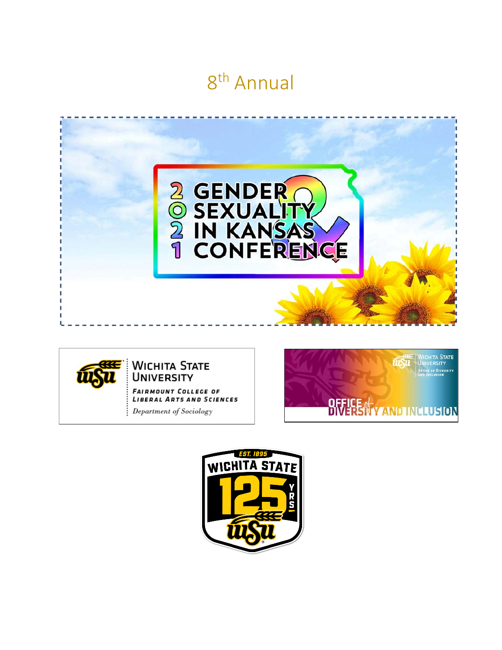# 8th Annual





### **BE** WICHITA STATE **UNIVERSITY**

**FAIRMOUNT COLLEGE OF LIBERAL ARTS AND SCIENCES** 

Department of Sociology



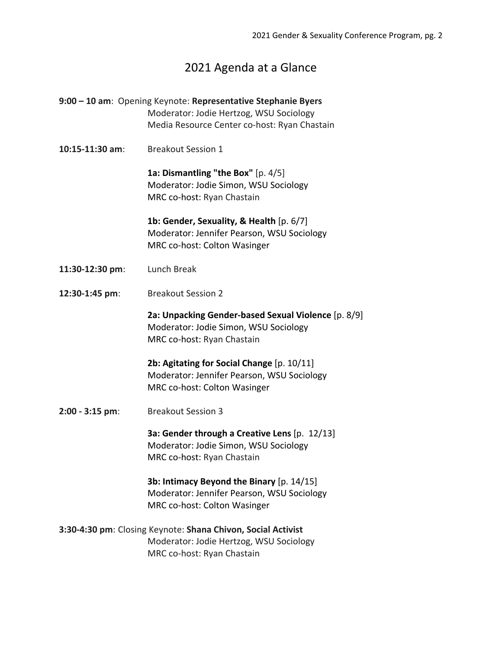### 2021 Agenda at a Glance

**9:00 – 10 am**: Opening Keynote: **Representative Stephanie Byers** Moderator: Jodie Hertzog, WSU Sociology Media Resource Center co-host: Ryan Chastain **10:15-11:30 am**: Breakout Session 1 **1a: Dismantling "the Box"** [p. 4/5] Moderator: Jodie Simon, WSU Sociology MRC co-host: Ryan Chastain **1b: Gender, Sexuality, & Health** [p. 6/7] Moderator: Jennifer Pearson, WSU Sociology MRC co-host: Colton Wasinger **11:30-12:30 pm**: Lunch Break **12:30-1:45 pm**: Breakout Session 2 **2a: Unpacking Gender-based Sexual Violence** [p. 8/9] Moderator: Jodie Simon, WSU Sociology MRC co-host: Ryan Chastain **2b: Agitating for Social Change** [p. 10/11] Moderator: Jennifer Pearson, WSU Sociology MRC co-host: Colton Wasinger **2:00 - 3:15 pm**: Breakout Session 3 **3a: Gender through a Creative Lens** [p. 12/13] Moderator: Jodie Simon, WSU Sociology MRC co-host: Ryan Chastain **3b: Intimacy Beyond the Binary** [p. 14/15] Moderator: Jennifer Pearson, WSU Sociology MRC co-host: Colton Wasinger **3:30-4:30 pm**: Closing Keynote: **Shana Chivon, Social Activist** Moderator: Jodie Hertzog, WSU Sociology MRC co-host: Ryan Chastain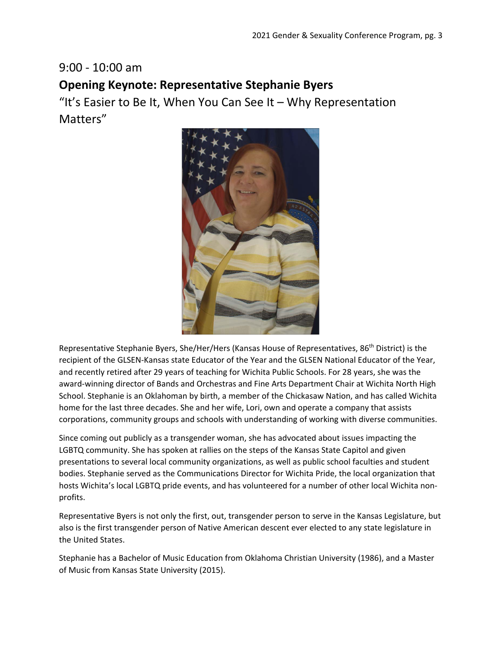## 9:00 - 10:00 am **Opening Keynote: Representative Stephanie Byers**

"It's Easier to Be It, When You Can See It – Why Representation Matters"



Representative Stephanie Byers, She/Her/Hers (Kansas House of Representatives, 86th District) is the recipient of the GLSEN-Kansas state Educator of the Year and the GLSEN National Educator of the Year, and recently retired after 29 years of teaching for Wichita Public Schools. For 28 years, she was the award-winning director of Bands and Orchestras and Fine Arts Department Chair at Wichita North High School. Stephanie is an Oklahoman by birth, a member of the Chickasaw Nation, and has called Wichita home for the last three decades. She and her wife, Lori, own and operate a company that assists corporations, community groups and schools with understanding of working with diverse communities.

Since coming out publicly as a transgender woman, she has advocated about issues impacting the LGBTQ community. She has spoken at rallies on the steps of the Kansas State Capitol and given presentations to several local community organizations, as well as public school faculties and student bodies. Stephanie served as the Communications Director for Wichita Pride, the local organization that hosts Wichita's local LGBTQ pride events, and has volunteered for a number of other local Wichita nonprofits.

Representative Byers is not only the first, out, transgender person to serve in the Kansas Legislature, but also is the first transgender person of Native American descent ever elected to any state legislature in the United States.

Stephanie has a Bachelor of Music Education from Oklahoma Christian University (1986), and a Master of Music from Kansas State University (2015).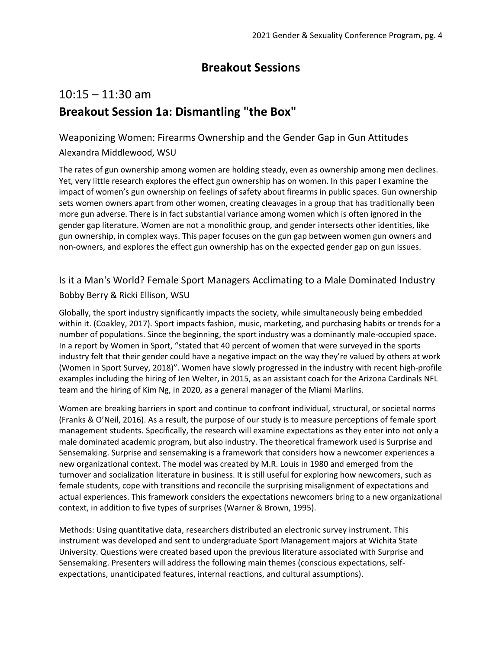## **Breakout Sessions**

## 10:15 – 11:30 am **Breakout Session 1a: Dismantling "the Box"**

## Weaponizing Women: Firearms Ownership and the Gender Gap in Gun Attitudes

#### Alexandra Middlewood, WSU

The rates of gun ownership among women are holding steady, even as ownership among men declines. Yet, very little research explores the effect gun ownership has on women. In this paper I examine the impact of women's gun ownership on feelings of safety about firearms in public spaces. Gun ownership sets women owners apart from other women, creating cleavages in a group that has traditionally been more gun adverse. There is in fact substantial variance among women which is often ignored in the gender gap literature. Women are not a monolithic group, and gender intersects other identities, like gun ownership, in complex ways. This paper focuses on the gun gap between women gun owners and non-owners, and explores the effect gun ownership has on the expected gender gap on gun issues.

### Is it a Man's World? Female Sport Managers Acclimating to a Male Dominated Industry Bobby Berry & Ricki Ellison, WSU

Globally, the sport industry significantly impacts the society, while simultaneously being embedded within it. (Coakley, 2017). Sport impacts fashion, music, marketing, and purchasing habits or trends for a number of populations. Since the beginning, the sport industry was a dominantly male-occupied space. In a report by Women in Sport, "stated that 40 percent of women that were surveyed in the sports industry felt that their gender could have a negative impact on the way they're valued by others at work (Women in Sport Survey, 2018)". Women have slowly progressed in the industry with recent high-profile examples including the hiring of Jen Welter, in 2015, as an assistant coach for the Arizona Cardinals NFL team and the hiring of Kim Ng, in 2020, as a general manager of the Miami Marlins.

Women are breaking barriers in sport and continue to confront individual, structural, or societal norms (Franks & O'Neil, 2016). As a result, the purpose of our study is to measure perceptions of female sport management students. Specifically, the research will examine expectations as they enter into not only a male dominated academic program, but also industry. The theoretical framework used is Surprise and Sensemaking. Surprise and sensemaking is a framework that considers how a newcomer experiences a new organizational context. The model was created by M.R. Louis in 1980 and emerged from the turnover and socialization literature in business. It is still useful for exploring how newcomers, such as female students, cope with transitions and reconcile the surprising misalignment of expectations and actual experiences. This framework considers the expectations newcomers bring to a new organizational context, in addition to five types of surprises (Warner & Brown, 1995).

Methods: Using quantitative data, researchers distributed an electronic survey instrument. This instrument was developed and sent to undergraduate Sport Management majors at Wichita State University. Questions were created based upon the previous literature associated with Surprise and Sensemaking. Presenters will address the following main themes (conscious expectations, selfexpectations, unanticipated features, internal reactions, and cultural assumptions).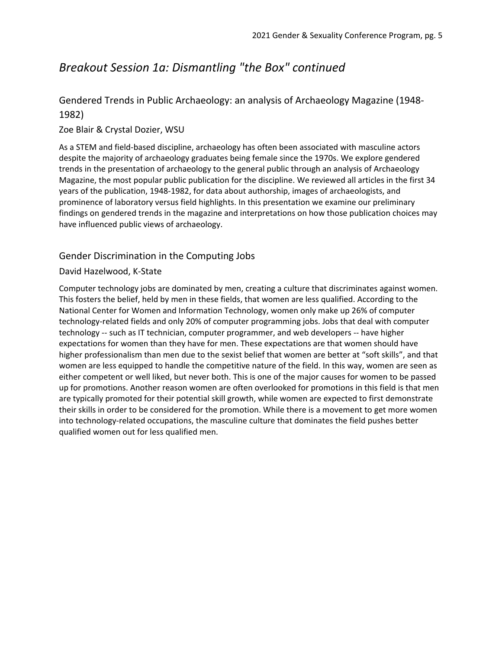## *Breakout Session 1a: Dismantling "the Box" continued*

### Gendered Trends in Public Archaeology: an analysis of Archaeology Magazine (1948- 1982)

#### Zoe Blair & Crystal Dozier, WSU

As a STEM and field-based discipline, archaeology has often been associated with masculine actors despite the majority of archaeology graduates being female since the 1970s. We explore gendered trends in the presentation of archaeology to the general public through an analysis of Archaeology Magazine, the most popular public publication for the discipline. We reviewed all articles in the first 34 years of the publication, 1948-1982, for data about authorship, images of archaeologists, and prominence of laboratory versus field highlights. In this presentation we examine our preliminary findings on gendered trends in the magazine and interpretations on how those publication choices may have influenced public views of archaeology.

#### Gender Discrimination in the Computing Jobs

#### David Hazelwood, K-State

Computer technology jobs are dominated by men, creating a culture that discriminates against women. This fosters the belief, held by men in these fields, that women are less qualified. According to the National Center for Women and Information Technology, women only make up 26% of computer technology-related fields and only 20% of computer programming jobs. Jobs that deal with computer technology -- such as IT technician, computer programmer, and web developers -- have higher expectations for women than they have for men. These expectations are that women should have higher professionalism than men due to the sexist belief that women are better at "soft skills", and that women are less equipped to handle the competitive nature of the field. In this way, women are seen as either competent or well liked, but never both. This is one of the major causes for women to be passed up for promotions. Another reason women are often overlooked for promotions in this field is that men are typically promoted for their potential skill growth, while women are expected to first demonstrate their skills in order to be considered for the promotion. While there is a movement to get more women into technology-related occupations, the masculine culture that dominates the field pushes better qualified women out for less qualified men.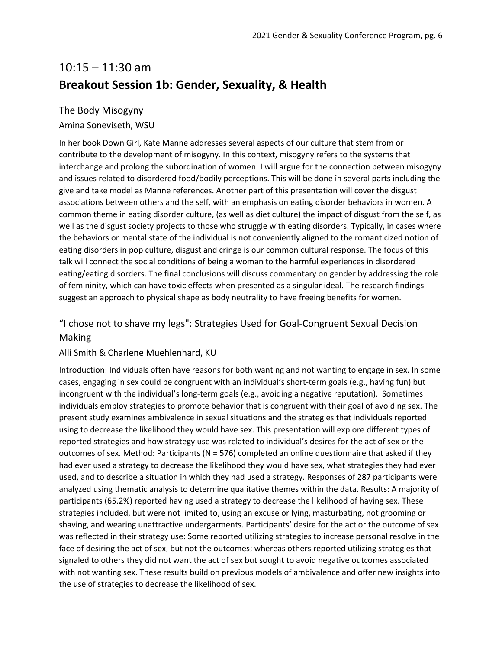## 10:15 – 11:30 am **Breakout Session 1b: Gender, Sexuality, & Health**

#### The Body Misogyny

#### Amina Soneviseth, WSU

In her book Down Girl, Kate Manne addresses several aspects of our culture that stem from or contribute to the development of misogyny. In this context, misogyny refers to the systems that interchange and prolong the subordination of women. I will argue for the connection between misogyny and issues related to disordered food/bodily perceptions. This will be done in several parts including the give and take model as Manne references. Another part of this presentation will cover the disgust associations between others and the self, with an emphasis on eating disorder behaviors in women. A common theme in eating disorder culture, (as well as diet culture) the impact of disgust from the self, as well as the disgust society projects to those who struggle with eating disorders. Typically, in cases where the behaviors or mental state of the individual is not conveniently aligned to the romanticized notion of eating disorders in pop culture, disgust and cringe is our common cultural response. The focus of this talk will connect the social conditions of being a woman to the harmful experiences in disordered eating/eating disorders. The final conclusions will discuss commentary on gender by addressing the role of femininity, which can have toxic effects when presented as a singular ideal. The research findings suggest an approach to physical shape as body neutrality to have freeing benefits for women.

#### "I chose not to shave my legs": Strategies Used for Goal-Congruent Sexual Decision

#### Making

#### Alli Smith & Charlene Muehlenhard, KU

Introduction: Individuals often have reasons for both wanting and not wanting to engage in sex. In some cases, engaging in sex could be congruent with an individual's short-term goals (e.g., having fun) but incongruent with the individual's long-term goals (e.g., avoiding a negative reputation). Sometimes individuals employ strategies to promote behavior that is congruent with their goal of avoiding sex. The present study examines ambivalence in sexual situations and the strategies that individuals reported using to decrease the likelihood they would have sex. This presentation will explore different types of reported strategies and how strategy use was related to individual's desires for the act of sex or the outcomes of sex. Method: Participants (N = 576) completed an online questionnaire that asked if they had ever used a strategy to decrease the likelihood they would have sex, what strategies they had ever used, and to describe a situation in which they had used a strategy. Responses of 287 participants were analyzed using thematic analysis to determine qualitative themes within the data. Results: A majority of participants (65.2%) reported having used a strategy to decrease the likelihood of having sex. These strategies included, but were not limited to, using an excuse or lying, masturbating, not grooming or shaving, and wearing unattractive undergarments. Participants' desire for the act or the outcome of sex was reflected in their strategy use: Some reported utilizing strategies to increase personal resolve in the face of desiring the act of sex, but not the outcomes; whereas others reported utilizing strategies that signaled to others they did not want the act of sex but sought to avoid negative outcomes associated with not wanting sex. These results build on previous models of ambivalence and offer new insights into the use of strategies to decrease the likelihood of sex.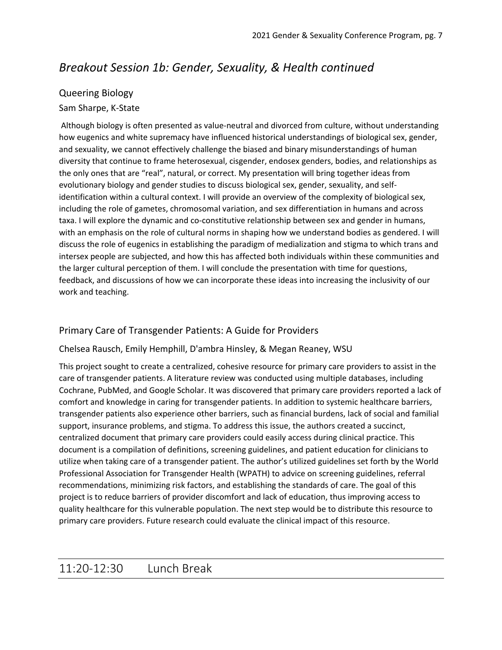## *Breakout Session 1b: Gender, Sexuality, & Health continued*

### Queering Biology

### Sam Sharpe, K-State

Although biology is often presented as value-neutral and divorced from culture, without understanding how eugenics and white supremacy have influenced historical understandings of biological sex, gender, and sexuality, we cannot effectively challenge the biased and binary misunderstandings of human diversity that continue to frame heterosexual, cisgender, endosex genders, bodies, and relationships as the only ones that are "real", natural, or correct. My presentation will bring together ideas from evolutionary biology and gender studies to discuss biological sex, gender, sexuality, and selfidentification within a cultural context. I will provide an overview of the complexity of biological sex, including the role of gametes, chromosomal variation, and sex differentiation in humans and across taxa. I will explore the dynamic and co-constitutive relationship between sex and gender in humans, with an emphasis on the role of cultural norms in shaping how we understand bodies as gendered. I will discuss the role of eugenics in establishing the paradigm of medialization and stigma to which trans and intersex people are subjected, and how this has affected both individuals within these communities and the larger cultural perception of them. I will conclude the presentation with time for questions, feedback, and discussions of how we can incorporate these ideas into increasing the inclusivity of our work and teaching.

### Primary Care of Transgender Patients: A Guide for Providers

#### Chelsea Rausch, Emily Hemphill, D'ambra Hinsley, & Megan Reaney, WSU

This project sought to create a centralized, cohesive resource for primary care providers to assist in the care of transgender patients. A literature review was conducted using multiple databases, including Cochrane, PubMed, and Google Scholar. It was discovered that primary care providers reported a lack of comfort and knowledge in caring for transgender patients. In addition to systemic healthcare barriers, transgender patients also experience other barriers, such as financial burdens, lack of social and familial support, insurance problems, and stigma. To address this issue, the authors created a succinct, centralized document that primary care providers could easily access during clinical practice. This document is a compilation of definitions, screening guidelines, and patient education for clinicians to utilize when taking care of a transgender patient. The author's utilized guidelines set forth by the World Professional Association for Transgender Health (WPATH) to advice on screening guidelines, referral recommendations, minimizing risk factors, and establishing the standards of care. The goal of this project is to reduce barriers of provider discomfort and lack of education, thus improving access to quality healthcare for this vulnerable population. The next step would be to distribute this resource to primary care providers. Future research could evaluate the clinical impact of this resource.

### 11:20-12:30 Lunch Break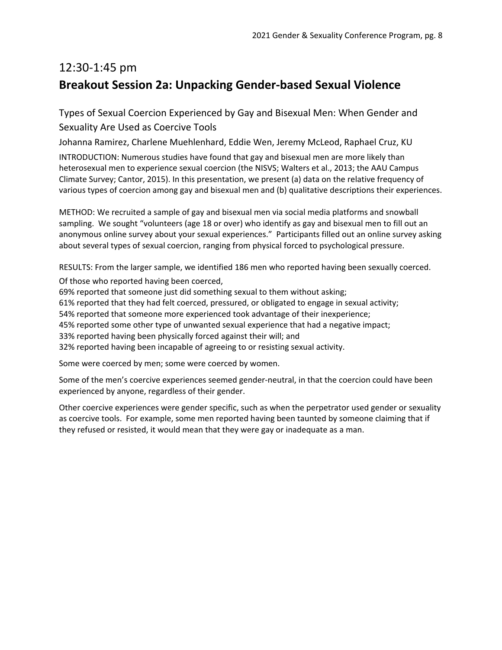## 12:30-1:45 pm **Breakout Session 2a: Unpacking Gender-based Sexual Violence**

Types of Sexual Coercion Experienced by Gay and Bisexual Men: When Gender and Sexuality Are Used as Coercive Tools

Johanna Ramirez, Charlene Muehlenhard, Eddie Wen, Jeremy McLeod, Raphael Cruz, KU

INTRODUCTION: Numerous studies have found that gay and bisexual men are more likely than heterosexual men to experience sexual coercion (the NISVS; Walters et al., 2013; the AAU Campus Climate Survey; Cantor, 2015). In this presentation, we present (a) data on the relative frequency of various types of coercion among gay and bisexual men and (b) qualitative descriptions their experiences.

METHOD: We recruited a sample of gay and bisexual men via social media platforms and snowball sampling. We sought "volunteers (age 18 or over) who identify as gay and bisexual men to fill out an anonymous online survey about your sexual experiences." Participants filled out an online survey asking about several types of sexual coercion, ranging from physical forced to psychological pressure.

RESULTS: From the larger sample, we identified 186 men who reported having been sexually coerced.

Of those who reported having been coerced,

69% reported that someone just did something sexual to them without asking;

61% reported that they had felt coerced, pressured, or obligated to engage in sexual activity;

54% reported that someone more experienced took advantage of their inexperience;

45% reported some other type of unwanted sexual experience that had a negative impact;

33% reported having been physically forced against their will; and

32% reported having been incapable of agreeing to or resisting sexual activity.

Some were coerced by men; some were coerced by women.

Some of the men's coercive experiences seemed gender-neutral, in that the coercion could have been experienced by anyone, regardless of their gender.

Other coercive experiences were gender specific, such as when the perpetrator used gender or sexuality as coercive tools. For example, some men reported having been taunted by someone claiming that if they refused or resisted, it would mean that they were gay or inadequate as a man.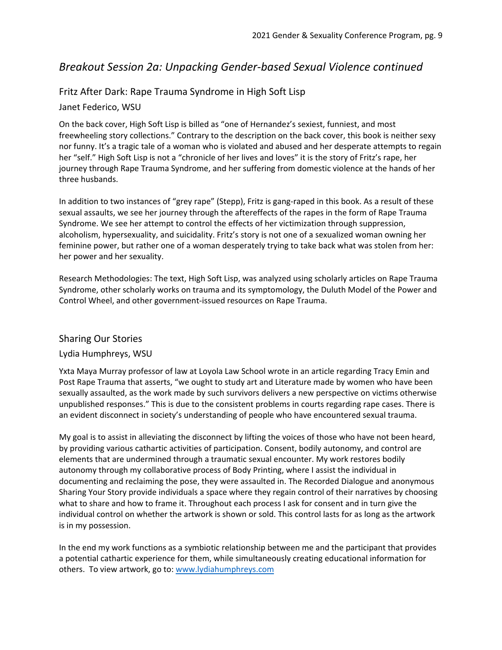### *Breakout Session 2a: Unpacking Gender-based Sexual Violence continued*

#### Fritz After Dark: Rape Trauma Syndrome in High Soft Lisp

#### Janet Federico, WSU

On the back cover, High Soft Lisp is billed as "one of Hernandez's sexiest, funniest, and most freewheeling story collections." Contrary to the description on the back cover, this book is neither sexy nor funny. It's a tragic tale of a woman who is violated and abused and her desperate attempts to regain her "self." High Soft Lisp is not a "chronicle of her lives and loves" it is the story of Fritz's rape, her journey through Rape Trauma Syndrome, and her suffering from domestic violence at the hands of her three husbands.

In addition to two instances of "grey rape" (Stepp), Fritz is gang-raped in this book. As a result of these sexual assaults, we see her journey through the aftereffects of the rapes in the form of Rape Trauma Syndrome. We see her attempt to control the effects of her victimization through suppression, alcoholism, hypersexuality, and suicidality. Fritz's story is not one of a sexualized woman owning her feminine power, but rather one of a woman desperately trying to take back what was stolen from her: her power and her sexuality.

Research Methodologies: The text, High Soft Lisp, was analyzed using scholarly articles on Rape Trauma Syndrome, other scholarly works on trauma and its symptomology, the Duluth Model of the Power and Control Wheel, and other government-issued resources on Rape Trauma.

#### Sharing Our Stories

#### Lydia Humphreys, WSU

Yxta Maya Murray professor of law at Loyola Law School wrote in an article regarding Tracy Emin and Post Rape Trauma that asserts, "we ought to study art and Literature made by women who have been sexually assaulted, as the work made by such survivors delivers a new perspective on victims otherwise unpublished responses." This is due to the consistent problems in courts regarding rape cases. There is an evident disconnect in society's understanding of people who have encountered sexual trauma.

My goal is to assist in alleviating the disconnect by lifting the voices of those who have not been heard, by providing various cathartic activities of participation. Consent, bodily autonomy, and control are elements that are undermined through a traumatic sexual encounter. My work restores bodily autonomy through my collaborative process of Body Printing, where I assist the individual in documenting and reclaiming the pose, they were assaulted in. The Recorded Dialogue and anonymous Sharing Your Story provide individuals a space where they regain control of their narratives by choosing what to share and how to frame it. Throughout each process I ask for consent and in turn give the individual control on whether the artwork is shown or sold. This control lasts for as long as the artwork is in my possession.

In the end my work functions as a symbiotic relationship between me and the participant that provides a potential cathartic experience for them, while simultaneously creating educational information for others. To view artwork, go to: [www.lydiahumphreys.com](http://www.lydiahumphreys.com/)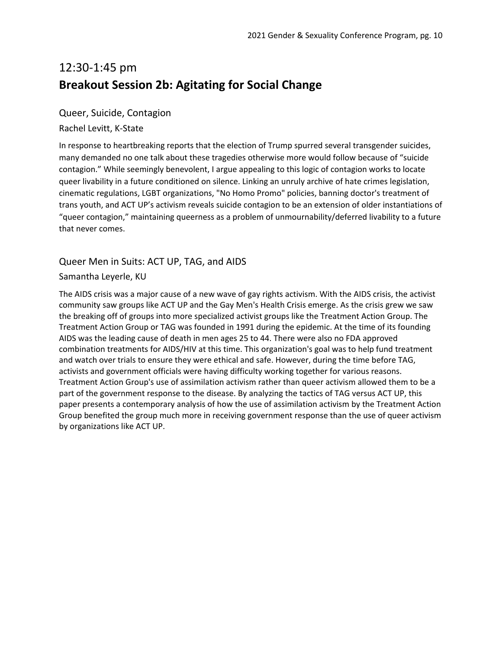## 12:30-1:45 pm **Breakout Session 2b: Agitating for Social Change**

#### Queer, Suicide, Contagion

#### Rachel Levitt, K-State

In response to heartbreaking reports that the election of Trump spurred several transgender suicides, many demanded no one talk about these tragedies otherwise more would follow because of "suicide contagion." While seemingly benevolent, I argue appealing to this logic of contagion works to locate queer livability in a future conditioned on silence. Linking an unruly archive of hate crimes legislation, cinematic regulations, LGBT organizations, "No Homo Promo" policies, banning doctor's treatment of trans youth, and ACT UP's activism reveals suicide contagion to be an extension of older instantiations of "queer contagion," maintaining queerness as a problem of unmournability/deferred livability to a future that never comes.

#### Queer Men in Suits: ACT UP, TAG, and AIDS

#### Samantha Leyerle, KU

The AIDS crisis was a major cause of a new wave of gay rights activism. With the AIDS crisis, the activist community saw groups like ACT UP and the Gay Men's Health Crisis emerge. As the crisis grew we saw the breaking off of groups into more specialized activist groups like the Treatment Action Group. The Treatment Action Group or TAG was founded in 1991 during the epidemic. At the time of its founding AIDS was the leading cause of death in men ages 25 to 44. There were also no FDA approved combination treatments for AIDS/HIV at this time. This organization's goal was to help fund treatment and watch over trials to ensure they were ethical and safe. However, during the time before TAG, activists and government officials were having difficulty working together for various reasons. Treatment Action Group's use of assimilation activism rather than queer activism allowed them to be a part of the government response to the disease. By analyzing the tactics of TAG versus ACT UP, this paper presents a contemporary analysis of how the use of assimilation activism by the Treatment Action Group benefited the group much more in receiving government response than the use of queer activism by organizations like ACT UP.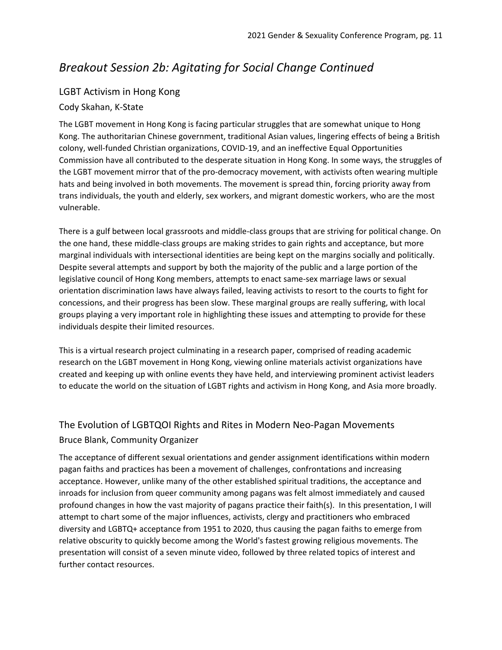## *Breakout Session 2b: Agitating for Social Change Continued*

### LGBT Activism in Hong Kong

#### Cody Skahan, K-State

The LGBT movement in Hong Kong is facing particular struggles that are somewhat unique to Hong Kong. The authoritarian Chinese government, traditional Asian values, lingering effects of being a British colony, well-funded Christian organizations, COVID-19, and an ineffective Equal Opportunities Commission have all contributed to the desperate situation in Hong Kong. In some ways, the struggles of the LGBT movement mirror that of the pro-democracy movement, with activists often wearing multiple hats and being involved in both movements. The movement is spread thin, forcing priority away from trans individuals, the youth and elderly, sex workers, and migrant domestic workers, who are the most vulnerable.

There is a gulf between local grassroots and middle-class groups that are striving for political change. On the one hand, these middle-class groups are making strides to gain rights and acceptance, but more marginal individuals with intersectional identities are being kept on the margins socially and politically. Despite several attempts and support by both the majority of the public and a large portion of the legislative council of Hong Kong members, attempts to enact same-sex marriage laws or sexual orientation discrimination laws have always failed, leaving activists to resort to the courts to fight for concessions, and their progress has been slow. These marginal groups are really suffering, with local groups playing a very important role in highlighting these issues and attempting to provide for these individuals despite their limited resources.

This is a virtual research project culminating in a research paper, comprised of reading academic research on the LGBT movement in Hong Kong, viewing online materials activist organizations have created and keeping up with online events they have held, and interviewing prominent activist leaders to educate the world on the situation of LGBT rights and activism in Hong Kong, and Asia more broadly.

### The Evolution of LGBTQOI Rights and Rites in Modern Neo-Pagan Movements Bruce Blank, Community Organizer

The acceptance of different sexual orientations and gender assignment identifications within modern pagan faiths and practices has been a movement of challenges, confrontations and increasing acceptance. However, unlike many of the other established spiritual traditions, the acceptance and inroads for inclusion from queer community among pagans was felt almost immediately and caused profound changes in how the vast majority of pagans practice their faith(s). In this presentation, I will attempt to chart some of the major influences, activists, clergy and practitioners who embraced diversity and LGBTQ+ acceptance from 1951 to 2020, thus causing the pagan faiths to emerge from relative obscurity to quickly become among the World's fastest growing religious movements. The presentation will consist of a seven minute video, followed by three related topics of interest and further contact resources.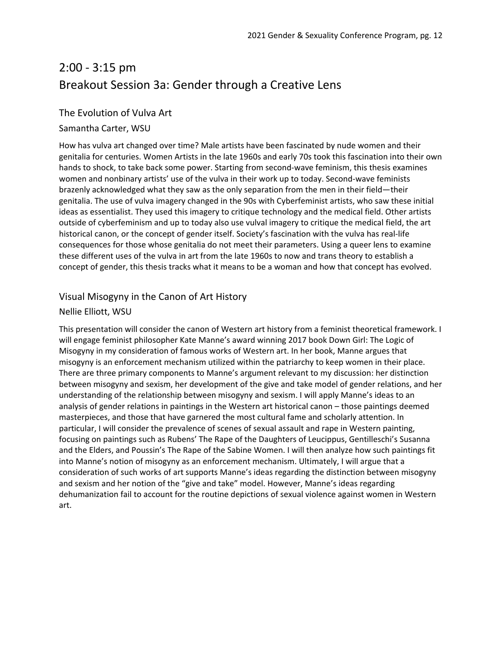## 2:00 - 3:15 pm Breakout Session 3a: Gender through a Creative Lens

#### The Evolution of Vulva Art

#### Samantha Carter, WSU

How has vulva art changed over time? Male artists have been fascinated by nude women and their genitalia for centuries. Women Artists in the late 1960s and early 70s took this fascination into their own hands to shock, to take back some power. Starting from second-wave feminism, this thesis examines women and nonbinary artists' use of the vulva in their work up to today. Second-wave feminists brazenly acknowledged what they saw as the only separation from the men in their field—their genitalia. The use of vulva imagery changed in the 90s with Cyberfeminist artists, who saw these initial ideas as essentialist. They used this imagery to critique technology and the medical field. Other artists outside of cyberfeminism and up to today also use vulval imagery to critique the medical field, the art historical canon, or the concept of gender itself. Society's fascination with the vulva has real-life consequences for those whose genitalia do not meet their parameters. Using a queer lens to examine these different uses of the vulva in art from the late 1960s to now and trans theory to establish a concept of gender, this thesis tracks what it means to be a woman and how that concept has evolved.

#### Visual Misogyny in the Canon of Art History

#### Nellie Elliott, WSU

This presentation will consider the canon of Western art history from a feminist theoretical framework. I will engage feminist philosopher Kate Manne's award winning 2017 book Down Girl: The Logic of Misogyny in my consideration of famous works of Western art. In her book, Manne argues that misogyny is an enforcement mechanism utilized within the patriarchy to keep women in their place. There are three primary components to Manne's argument relevant to my discussion: her distinction between misogyny and sexism, her development of the give and take model of gender relations, and her understanding of the relationship between misogyny and sexism. I will apply Manne's ideas to an analysis of gender relations in paintings in the Western art historical canon – those paintings deemed masterpieces, and those that have garnered the most cultural fame and scholarly attention. In particular, I will consider the prevalence of scenes of sexual assault and rape in Western painting, focusing on paintings such as Rubens' The Rape of the Daughters of Leucippus, Gentilleschi's Susanna and the Elders, and Poussin's The Rape of the Sabine Women. I will then analyze how such paintings fit into Manne's notion of misogyny as an enforcement mechanism. Ultimately, I will argue that a consideration of such works of art supports Manne's ideas regarding the distinction between misogyny and sexism and her notion of the "give and take" model. However, Manne's ideas regarding dehumanization fail to account for the routine depictions of sexual violence against women in Western art.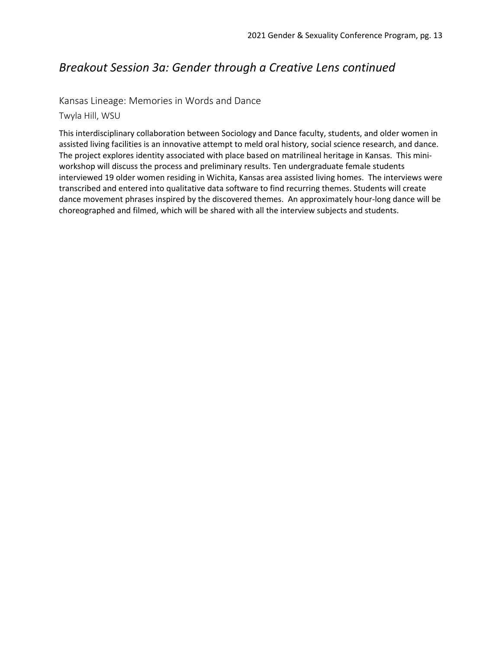### *Breakout Session 3a: Gender through a Creative Lens continued*

#### Kansas Lineage: Memories in Words and Dance

Twyla Hill, WSU

This interdisciplinary collaboration between Sociology and Dance faculty, students, and older women in assisted living facilities is an innovative attempt to meld oral history, social science research, and dance. The project explores identity associated with place based on matrilineal heritage in Kansas. This miniworkshop will discuss the process and preliminary results. Ten undergraduate female students interviewed 19 older women residing in Wichita, Kansas area assisted living homes. The interviews were transcribed and entered into qualitative data software to find recurring themes. Students will create dance movement phrases inspired by the discovered themes. An approximately hour-long dance will be choreographed and filmed, which will be shared with all the interview subjects and students.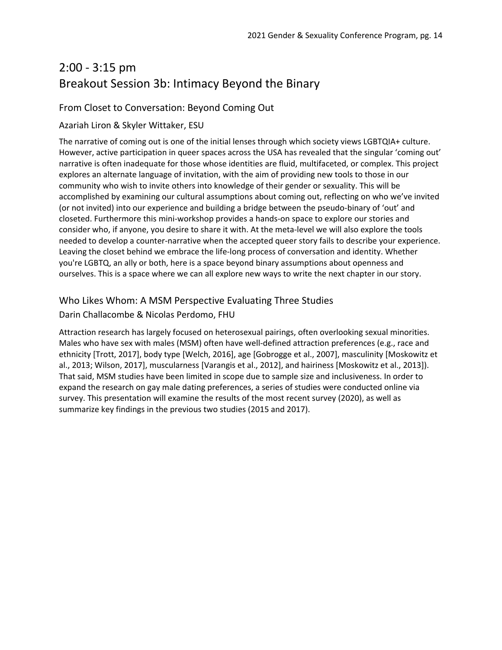## 2:00 - 3:15 pm Breakout Session 3b: Intimacy Beyond the Binary

### From Closet to Conversation: Beyond Coming Out

#### Azariah Liron & Skyler Wittaker, ESU

The narrative of coming out is one of the initial lenses through which society views LGBTQIA+ culture. However, active participation in queer spaces across the USA has revealed that the singular 'coming out' narrative is often inadequate for those whose identities are fluid, multifaceted, or complex. This project explores an alternate language of invitation, with the aim of providing new tools to those in our community who wish to invite others into knowledge of their gender or sexuality. This will be accomplished by examining our cultural assumptions about coming out, reflecting on who we've invited (or not invited) into our experience and building a bridge between the pseudo-binary of 'out' and closeted. Furthermore this mini-workshop provides a hands-on space to explore our stories and consider who, if anyone, you desire to share it with. At the meta-level we will also explore the tools needed to develop a counter-narrative when the accepted queer story fails to describe your experience. Leaving the closet behind we embrace the life-long process of conversation and identity. Whether you're LGBTQ, an ally or both, here is a space beyond binary assumptions about openness and ourselves. This is a space where we can all explore new ways to write the next chapter in our story.

#### Who Likes Whom: A MSM Perspective Evaluating Three Studies

#### Darin Challacombe & Nicolas Perdomo, FHU

Attraction research has largely focused on heterosexual pairings, often overlooking sexual minorities. Males who have sex with males (MSM) often have well-defined attraction preferences (e.g., race and ethnicity [Trott, 2017], body type [Welch, 2016], age [Gobrogge et al., 2007], masculinity [Moskowitz et al., 2013; Wilson, 2017], muscularness [Varangis et al., 2012], and hairiness [Moskowitz et al., 2013]). That said, MSM studies have been limited in scope due to sample size and inclusiveness. In order to expand the research on gay male dating preferences, a series of studies were conducted online via survey. This presentation will examine the results of the most recent survey (2020), as well as summarize key findings in the previous two studies (2015 and 2017).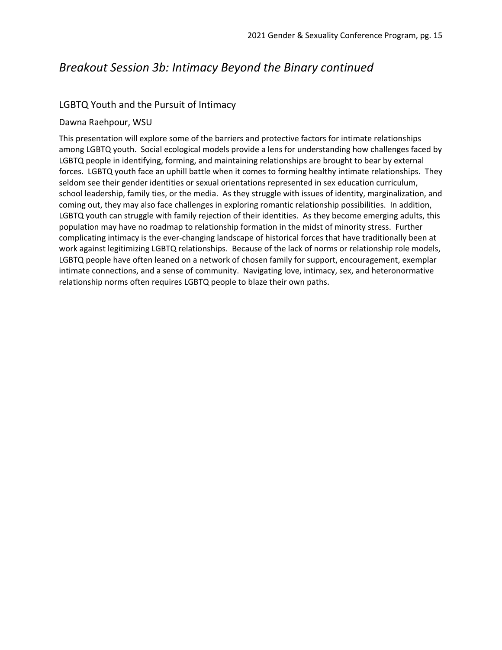## *Breakout Session 3b: Intimacy Beyond the Binary continued*

#### LGBTQ Youth and the Pursuit of Intimacy

#### Dawna Raehpour, WSU

This presentation will explore some of the barriers and protective factors for intimate relationships among LGBTQ youth. Social ecological models provide a lens for understanding how challenges faced by LGBTQ people in identifying, forming, and maintaining relationships are brought to bear by external forces. LGBTQ youth face an uphill battle when it comes to forming healthy intimate relationships. They seldom see their gender identities or sexual orientations represented in sex education curriculum, school leadership, family ties, or the media. As they struggle with issues of identity, marginalization, and coming out, they may also face challenges in exploring romantic relationship possibilities. In addition, LGBTQ youth can struggle with family rejection of their identities. As they become emerging adults, this population may have no roadmap to relationship formation in the midst of minority stress. Further complicating intimacy is the ever-changing landscape of historical forces that have traditionally been at work against legitimizing LGBTQ relationships. Because of the lack of norms or relationship role models, LGBTQ people have often leaned on a network of chosen family for support, encouragement, exemplar intimate connections, and a sense of community. Navigating love, intimacy, sex, and heteronormative relationship norms often requires LGBTQ people to blaze their own paths.